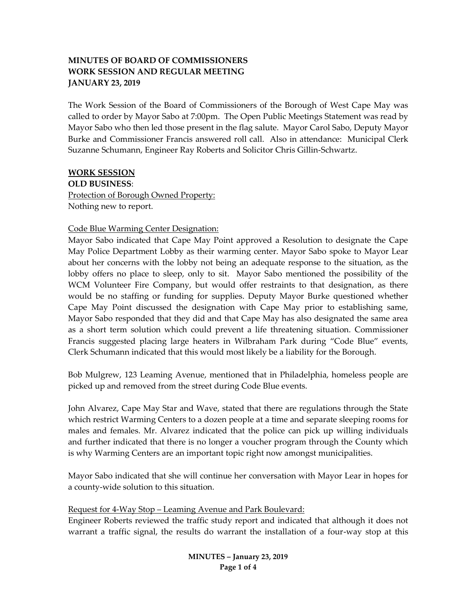# **MINUTES OF BOARD OF COMMISSIONERS WORK SESSION AND REGULAR MEETING JANUARY 23, 2019**

The Work Session of the Board of Commissioners of the Borough of West Cape May was called to order by Mayor Sabo at 7:00pm. The Open Public Meetings Statement was read by Mayor Sabo who then led those present in the flag salute. Mayor Carol Sabo, Deputy Mayor Burke and Commissioner Francis answered roll call. Also in attendance: Municipal Clerk Suzanne Schumann, Engineer Ray Roberts and Solicitor Chris Gillin-Schwartz.

### **WORK SESSION**

**OLD BUSINESS**: Protection of Borough Owned Property: Nothing new to report.

### Code Blue Warming Center Designation:

Mayor Sabo indicated that Cape May Point approved a Resolution to designate the Cape May Police Department Lobby as their warming center. Mayor Sabo spoke to Mayor Lear about her concerns with the lobby not being an adequate response to the situation, as the lobby offers no place to sleep, only to sit. Mayor Sabo mentioned the possibility of the WCM Volunteer Fire Company, but would offer restraints to that designation, as there would be no staffing or funding for supplies. Deputy Mayor Burke questioned whether Cape May Point discussed the designation with Cape May prior to establishing same, Mayor Sabo responded that they did and that Cape May has also designated the same area as a short term solution which could prevent a life threatening situation. Commissioner Francis suggested placing large heaters in Wilbraham Park during "Code Blue" events, Clerk Schumann indicated that this would most likely be a liability for the Borough.

Bob Mulgrew, 123 Leaming Avenue, mentioned that in Philadelphia, homeless people are picked up and removed from the street during Code Blue events.

John Alvarez, Cape May Star and Wave, stated that there are regulations through the State which restrict Warming Centers to a dozen people at a time and separate sleeping rooms for males and females. Mr. Alvarez indicated that the police can pick up willing individuals and further indicated that there is no longer a voucher program through the County which is why Warming Centers are an important topic right now amongst municipalities.

Mayor Sabo indicated that she will continue her conversation with Mayor Lear in hopes for a county-wide solution to this situation.

### Request for 4-Way Stop – Leaming Avenue and Park Boulevard:

Engineer Roberts reviewed the traffic study report and indicated that although it does not warrant a traffic signal, the results do warrant the installation of a four-way stop at this

> **MINUTES – January 23, 2019 Page 1 of 4**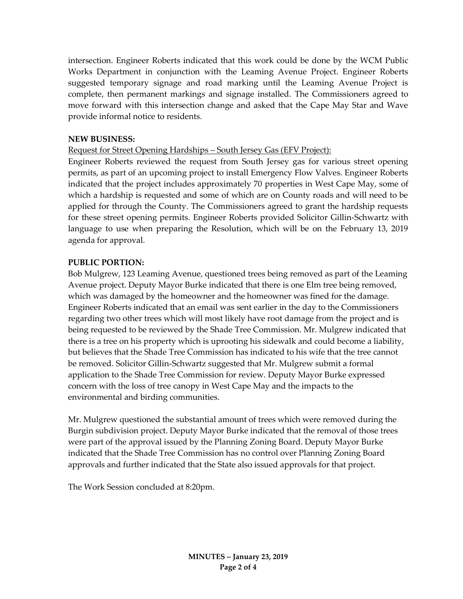intersection. Engineer Roberts indicated that this work could be done by the WCM Public Works Department in conjunction with the Leaming Avenue Project. Engineer Roberts suggested temporary signage and road marking until the Leaming Avenue Project is complete, then permanent markings and signage installed. The Commissioners agreed to move forward with this intersection change and asked that the Cape May Star and Wave provide informal notice to residents.

### **NEW BUSINESS:**

### Request for Street Opening Hardships – South Jersey Gas (EFV Project):

Engineer Roberts reviewed the request from South Jersey gas for various street opening permits, as part of an upcoming project to install Emergency Flow Valves. Engineer Roberts indicated that the project includes approximately 70 properties in West Cape May, some of which a hardship is requested and some of which are on County roads and will need to be applied for through the County. The Commissioners agreed to grant the hardship requests for these street opening permits. Engineer Roberts provided Solicitor Gillin-Schwartz with language to use when preparing the Resolution, which will be on the February 13, 2019 agenda for approval.

#### **PUBLIC PORTION:**

Bob Mulgrew, 123 Leaming Avenue, questioned trees being removed as part of the Leaming Avenue project. Deputy Mayor Burke indicated that there is one Elm tree being removed, which was damaged by the homeowner and the homeowner was fined for the damage. Engineer Roberts indicated that an email was sent earlier in the day to the Commissioners regarding two other trees which will most likely have root damage from the project and is being requested to be reviewed by the Shade Tree Commission. Mr. Mulgrew indicated that there is a tree on his property which is uprooting his sidewalk and could become a liability, but believes that the Shade Tree Commission has indicated to his wife that the tree cannot be removed. Solicitor Gillin-Schwartz suggested that Mr. Mulgrew submit a formal application to the Shade Tree Commission for review. Deputy Mayor Burke expressed concern with the loss of tree canopy in West Cape May and the impacts to the environmental and birding communities.

Mr. Mulgrew questioned the substantial amount of trees which were removed during the Burgin subdivision project. Deputy Mayor Burke indicated that the removal of those trees were part of the approval issued by the Planning Zoning Board. Deputy Mayor Burke indicated that the Shade Tree Commission has no control over Planning Zoning Board approvals and further indicated that the State also issued approvals for that project.

The Work Session concluded at 8:20pm.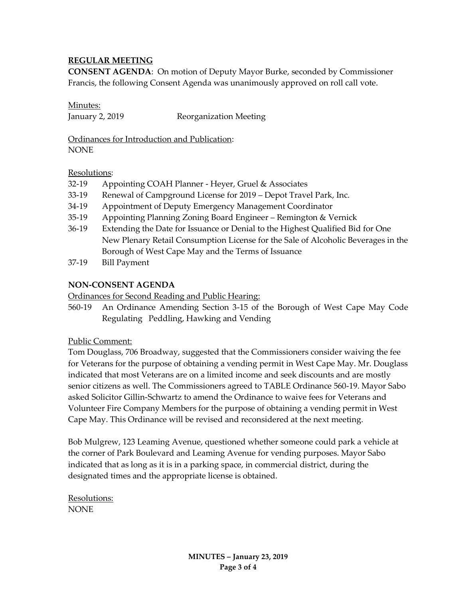# **REGULAR MEETING**

**CONSENT AGENDA**: On motion of Deputy Mayor Burke, seconded by Commissioner Francis, the following Consent Agenda was unanimously approved on roll call vote.

Minutes:

January 2, 2019 Reorganization Meeting

Ordinances for Introduction and Publication: **NONE** 

### Resolutions:

- 32-19 Appointing COAH Planner Heyer, Gruel & Associates
- 33-19 Renewal of Campground License for 2019 Depot Travel Park, Inc.
- 34-19 Appointment of Deputy Emergency Management Coordinator
- 35-19 Appointing Planning Zoning Board Engineer Remington & Vernick
- 36-19 Extending the Date for Issuance or Denial to the Highest Qualified Bid for One New Plenary Retail Consumption License for the Sale of Alcoholic Beverages in the Borough of West Cape May and the Terms of Issuance
- 37-19 Bill Payment

## **NON-CONSENT AGENDA**

Ordinances for Second Reading and Public Hearing:

560-19 An Ordinance Amending Section 3-15 of the Borough of West Cape May Code Regulating Peddling, Hawking and Vending

### Public Comment:

Tom Douglass, 706 Broadway, suggested that the Commissioners consider waiving the fee for Veterans for the purpose of obtaining a vending permit in West Cape May. Mr. Douglass indicated that most Veterans are on a limited income and seek discounts and are mostly senior citizens as well. The Commissioners agreed to TABLE Ordinance 560-19. Mayor Sabo asked Solicitor Gillin-Schwartz to amend the Ordinance to waive fees for Veterans and Volunteer Fire Company Members for the purpose of obtaining a vending permit in West Cape May. This Ordinance will be revised and reconsidered at the next meeting.

Bob Mulgrew, 123 Leaming Avenue, questioned whether someone could park a vehicle at the corner of Park Boulevard and Leaming Avenue for vending purposes. Mayor Sabo indicated that as long as it is in a parking space, in commercial district, during the designated times and the appropriate license is obtained.

Resolutions: NONE